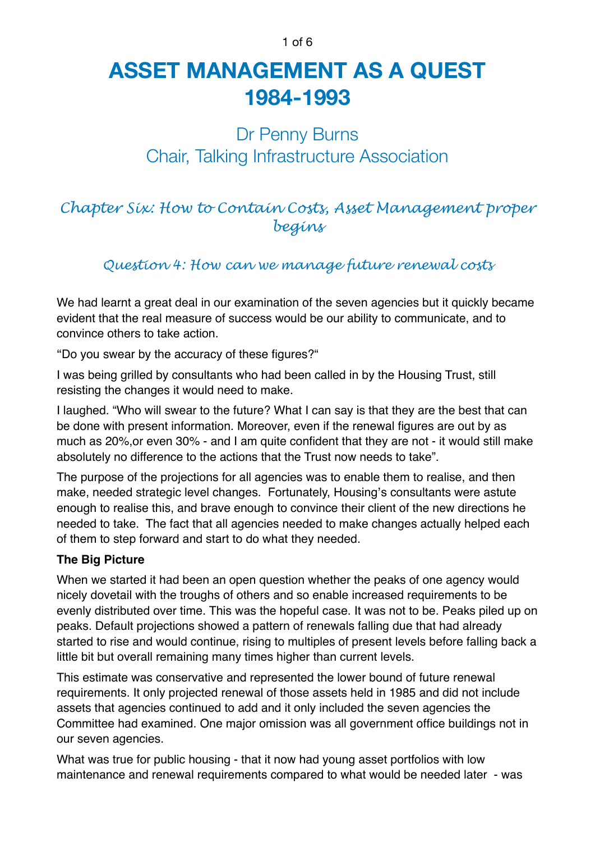#### 1 of 6

# **ASSET MANAGEMENT AS A QUEST 1984-1993**

# Dr Penny Burns Chair, Talking Infrastructure Association

## *Chapter Six: How to Contain Costs, Asset Management proper begins*

### *Question 4: How can we manage future renewal costs*

We had learnt a great deal in our examination of the seven agencies but it quickly became evident that the real measure of success would be our ability to communicate, and to convince others to take action.

"Do you swear by the accuracy of these figures?"

I was being grilled by consultants who had been called in by the Housing Trust, still resisting the changes it would need to make.

I laughed. "Who will swear to the future? What I can say is that they are the best that can be done with present information. Moreover, even if the renewal figures are out by as much as 20%,or even 30% - and I am quite confident that they are not - it would still make absolutely no difference to the actions that the Trust now needs to take".

The purpose of the projections for all agencies was to enable them to realise, and then make, needed strategic level changes. Fortunately, Housing's consultants were astute enough to realise this, and brave enough to convince their client of the new directions he needed to take. The fact that all agencies needed to make changes actually helped each of them to step forward and start to do what they needed.

#### **The Big Picture**

When we started it had been an open question whether the peaks of one agency would nicely dovetail with the troughs of others and so enable increased requirements to be evenly distributed over time. This was the hopeful case. It was not to be. Peaks piled up on peaks. Default projections showed a pattern of renewals falling due that had already started to rise and would continue, rising to multiples of present levels before falling back a little bit but overall remaining many times higher than current levels.

This estimate was conservative and represented the lower bound of future renewal requirements. It only projected renewal of those assets held in 1985 and did not include assets that agencies continued to add and it only included the seven agencies the Committee had examined. One major omission was all government office buildings not in our seven agencies.

What was true for public housing - that it now had young asset portfolios with low maintenance and renewal requirements compared to what would be needed later - was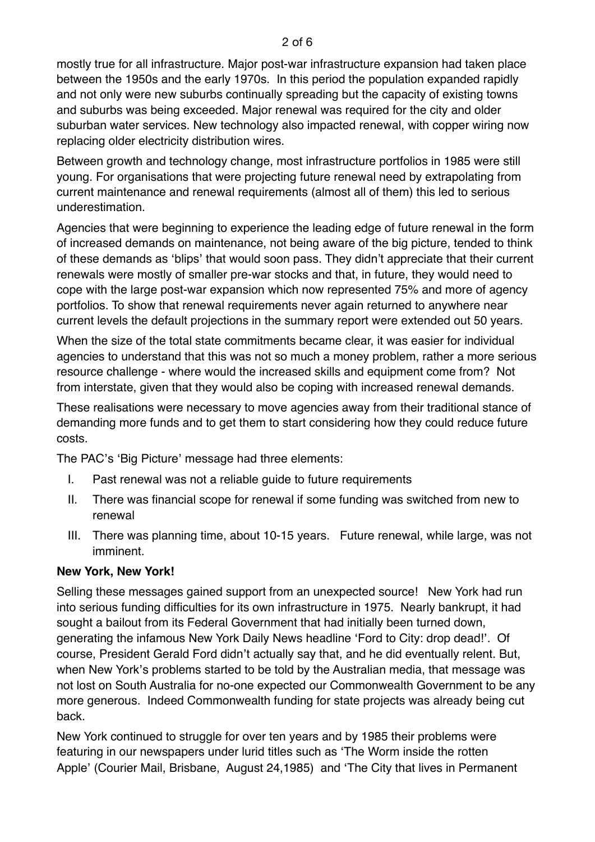mostly true for all infrastructure. Major post-war infrastructure expansion had taken place between the 1950s and the early 1970s. In this period the population expanded rapidly and not only were new suburbs continually spreading but the capacity of existing towns and suburbs was being exceeded. Major renewal was required for the city and older suburban water services. New technology also impacted renewal, with copper wiring now replacing older electricity distribution wires.

Between growth and technology change, most infrastructure portfolios in 1985 were still young. For organisations that were projecting future renewal need by extrapolating from current maintenance and renewal requirements (almost all of them) this led to serious underestimation.

Agencies that were beginning to experience the leading edge of future renewal in the form of increased demands on maintenance, not being aware of the big picture, tended to think of these demands as 'blips' that would soon pass. They didn't appreciate that their current renewals were mostly of smaller pre-war stocks and that, in future, they would need to cope with the large post-war expansion which now represented 75% and more of agency portfolios. To show that renewal requirements never again returned to anywhere near current levels the default projections in the summary report were extended out 50 years.

When the size of the total state commitments became clear, it was easier for individual agencies to understand that this was not so much a money problem, rather a more serious resource challenge - where would the increased skills and equipment come from? Not from interstate, given that they would also be coping with increased renewal demands.

These realisations were necessary to move agencies away from their traditional stance of demanding more funds and to get them to start considering how they could reduce future costs.

The PAC's 'Big Picture' message had three elements:

- I. Past renewal was not a reliable guide to future requirements
- II. There was financial scope for renewal if some funding was switched from new to renewal
- III. There was planning time, about 10-15 years. Future renewal, while large, was not imminent.

#### **New York, New York!**

Selling these messages gained support from an unexpected source! New York had run into serious funding difficulties for its own infrastructure in 1975. Nearly bankrupt, it had sought a bailout from its Federal Government that had initially been turned down, generating the infamous New York Daily News headline 'Ford to City: drop dead!'. Of course, President Gerald Ford didn't actually say that, and he did eventually relent. But, when New York's problems started to be told by the Australian media, that message was not lost on South Australia for no-one expected our Commonwealth Government to be any more generous. Indeed Commonwealth funding for state projects was already being cut back.

New York continued to struggle for over ten years and by 1985 their problems were featuring in our newspapers under lurid titles such as 'The Worm inside the rotten Apple' (Courier Mail, Brisbane, August 24,1985) and 'The City that lives in Permanent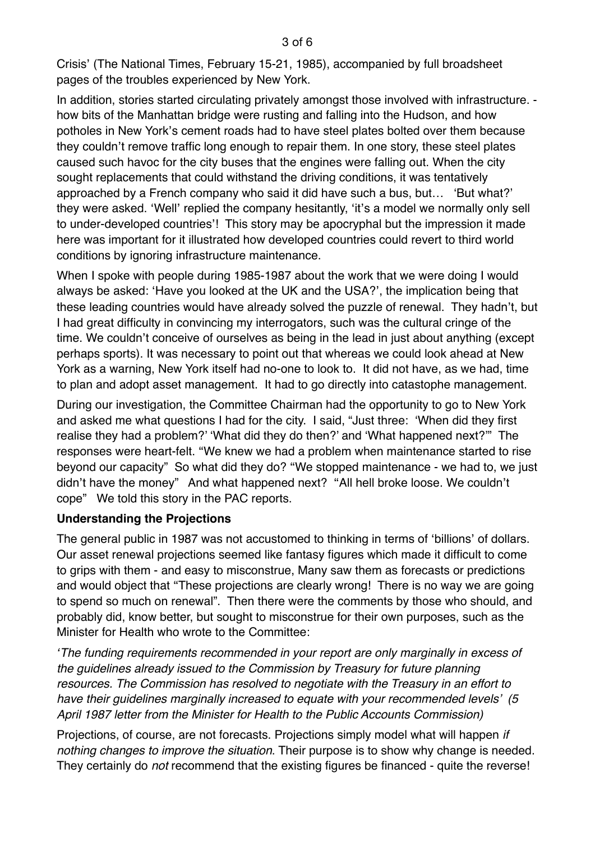Crisis' (The National Times, February 15-21, 1985), accompanied by full broadsheet pages of the troubles experienced by New York.

In addition, stories started circulating privately amongst those involved with infrastructure. how bits of the Manhattan bridge were rusting and falling into the Hudson, and how potholes in New York's cement roads had to have steel plates bolted over them because they couldn't remove traffic long enough to repair them. In one story, these steel plates caused such havoc for the city buses that the engines were falling out. When the city sought replacements that could withstand the driving conditions, it was tentatively approached by a French company who said it did have such a bus, but… 'But what?' they were asked. 'Well' replied the company hesitantly, 'it's a model we normally only sell to under-developed countries'! This story may be apocryphal but the impression it made here was important for it illustrated how developed countries could revert to third world conditions by ignoring infrastructure maintenance.

When I spoke with people during 1985-1987 about the work that we were doing I would always be asked: 'Have you looked at the UK and the USA?', the implication being that these leading countries would have already solved the puzzle of renewal. They hadn't, but I had great difficulty in convincing my interrogators, such was the cultural cringe of the time. We couldn't conceive of ourselves as being in the lead in just about anything (except perhaps sports). It was necessary to point out that whereas we could look ahead at New York as a warning, New York itself had no-one to look to. It did not have, as we had, time to plan and adopt asset management. It had to go directly into catastophe management.

During our investigation, the Committee Chairman had the opportunity to go to New York and asked me what questions I had for the city. I said, "Just three: 'When did they first realise they had a problem?' 'What did they do then?' and 'What happened next?'" The responses were heart-felt. "We knew we had a problem when maintenance started to rise beyond our capacity" So what did they do? "We stopped maintenance - we had to, we just didn't have the money" And what happened next? "All hell broke loose. We couldn't cope" We told this story in the PAC reports.

#### **Understanding the Projections**

The general public in 1987 was not accustomed to thinking in terms of 'billions' of dollars. Our asset renewal projections seemed like fantasy figures which made it difficult to come to grips with them - and easy to misconstrue, Many saw them as forecasts or predictions and would object that "These projections are clearly wrong! There is no way we are going to spend so much on renewal". Then there were the comments by those who should, and probably did, know better, but sought to misconstrue for their own purposes, such as the Minister for Health who wrote to the Committee:

*'The funding requirements recommended in your report are only marginally in excess of the guidelines already issued to the Commission by Treasury for future planning resources. The Commission has resolved to negotiate with the Treasury in an effort to have their guidelines marginally increased to equate with your recommended levels' (5 April 1987 letter from the Minister for Health to the Public Accounts Commission)*

Projections, of course, are not forecasts. Projections simply model what will happen *if nothing changes to improve the situation*. Their purpose is to show why change is needed. They certainly do *not* recommend that the existing figures be financed - quite the reverse!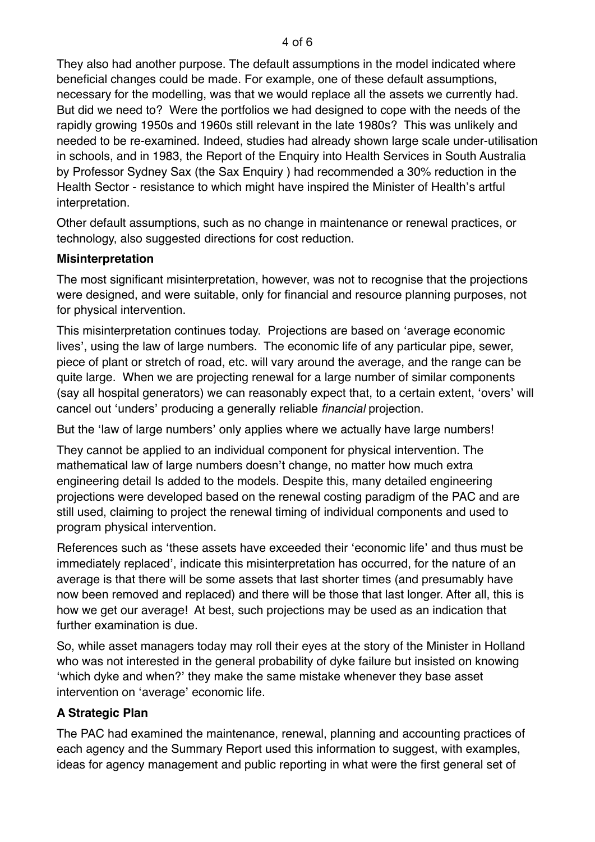They also had another purpose. The default assumptions in the model indicated where beneficial changes could be made. For example, one of these default assumptions, necessary for the modelling, was that we would replace all the assets we currently had. But did we need to? Were the portfolios we had designed to cope with the needs of the rapidly growing 1950s and 1960s still relevant in the late 1980s? This was unlikely and needed to be re-examined. Indeed, studies had already shown large scale under-utilisation in schools, and in 1983, the Report of the Enquiry into Health Services in South Australia by Professor Sydney Sax (the Sax Enquiry ) had recommended a 30% reduction in the Health Sector - resistance to which might have inspired the Minister of Health's artful interpretation.

Other default assumptions, such as no change in maintenance or renewal practices, or technology, also suggested directions for cost reduction.

#### **Misinterpretation**

The most significant misinterpretation, however, was not to recognise that the projections were designed, and were suitable, only for financial and resource planning purposes, not for physical intervention.

This misinterpretation continues today. Projections are based on 'average economic lives', using the law of large numbers. The economic life of any particular pipe, sewer, piece of plant or stretch of road, etc. will vary around the average, and the range can be quite large. When we are projecting renewal for a large number of similar components (say all hospital generators) we can reasonably expect that, to a certain extent, 'overs' will cancel out 'unders' producing a generally reliable *financial* projection.

But the 'law of large numbers' only applies where we actually have large numbers!

They cannot be applied to an individual component for physical intervention. The mathematical law of large numbers doesn't change, no matter how much extra engineering detail Is added to the models. Despite this, many detailed engineering projections were developed based on the renewal costing paradigm of the PAC and are still used, claiming to project the renewal timing of individual components and used to program physical intervention.

References such as 'these assets have exceeded their 'economic life' and thus must be immediately replaced', indicate this misinterpretation has occurred, for the nature of an average is that there will be some assets that last shorter times (and presumably have now been removed and replaced) and there will be those that last longer. After all, this is how we get our average! At best, such projections may be used as an indication that further examination is due.

So, while asset managers today may roll their eyes at the story of the Minister in Holland who was not interested in the general probability of dyke failure but insisted on knowing 'which dyke and when?' they make the same mistake whenever they base asset intervention on 'average' economic life.

#### **A Strategic Plan**

The PAC had examined the maintenance, renewal, planning and accounting practices of each agency and the Summary Report used this information to suggest, with examples, ideas for agency management and public reporting in what were the first general set of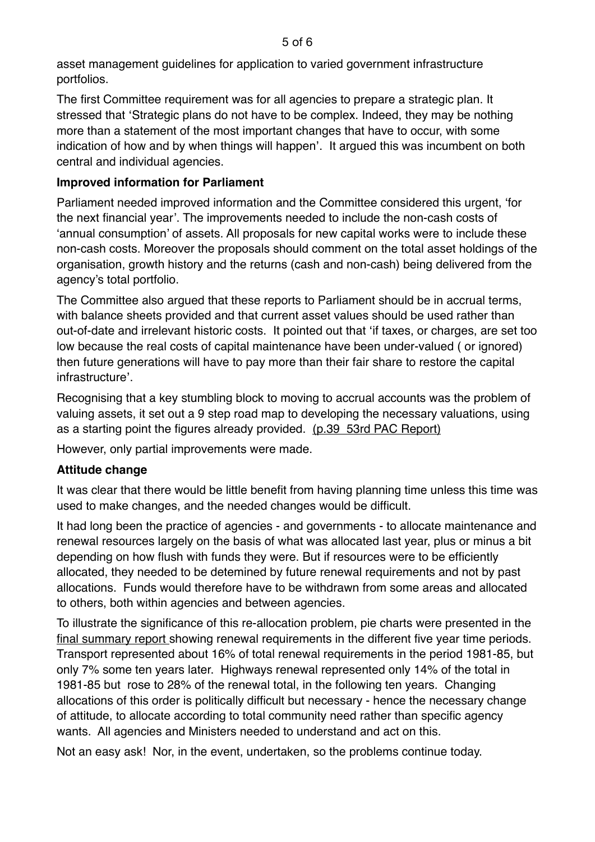asset management guidelines for application to varied government infrastructure portfolios.

The first Committee requirement was for all agencies to prepare a strategic plan. It stressed that 'Strategic plans do not have to be complex. Indeed, they may be nothing more than a statement of the most important changes that have to occur, with some indication of how and by when things will happen'. It argued this was incumbent on both central and individual agencies.

#### **Improved information for Parliament**

Parliament needed improved information and the Committee considered this urgent, 'for the next financial year'. The improvements needed to include the non-cash costs of 'annual consumption' of assets. All proposals for new capital works were to include these non-cash costs. Moreover the proposals should comment on the total asset holdings of the organisation, growth history and the returns (cash and non-cash) being delivered from the agency's total portfolio.

The Committee also argued that these reports to Parliament should be in accrual terms, with balance sheets provided and that current asset values should be used rather than out-of-date and irrelevant historic costs. It pointed out that 'if taxes, or charges, are set too low because the real costs of capital maintenance have been under-valued ( or ignored) then future generations will have to pay more than their fair share to restore the capital infrastructure'.

Recognising that a key stumbling block to moving to accrual accounts was the problem of valuing assets, it set out a 9 step road map to developing the necessary valuations, using as a starting point the figures already provided. (p.39 53rd PAC Report)

However, only partial improvements were made.

#### **Attitude change**

It was clear that there would be little benefit from having planning time unless this time was used to make changes, and the needed changes would be difficult.

It had long been the practice of agencies - and governments - to allocate maintenance and renewal resources largely on the basis of what was allocated last year, plus or minus a bit depending on how flush with funds they were. But if resources were to be efficiently allocated, they needed to be detemined by future renewal requirements and not by past allocations. Funds would therefore have to be withdrawn from some areas and allocated to others, both within agencies and between agencies.

To illustrate the significance of this re-allocation problem, pie charts were presented in the final summary report showing renewal requirements in the different five year time periods. Transport represented about 16% of total renewal requirements in the period 1981-85, but only 7% some ten years later. Highways renewal represented only 14% of the total in 1981-85 but rose to 28% of the renewal total, in the following ten years. Changing allocations of this order is politically difficult but necessary - hence the necessary change of attitude, to allocate according to total community need rather than specific agency wants. All agencies and Ministers needed to understand and act on this.

Not an easy ask! Nor, in the event, undertaken, so the problems continue today.